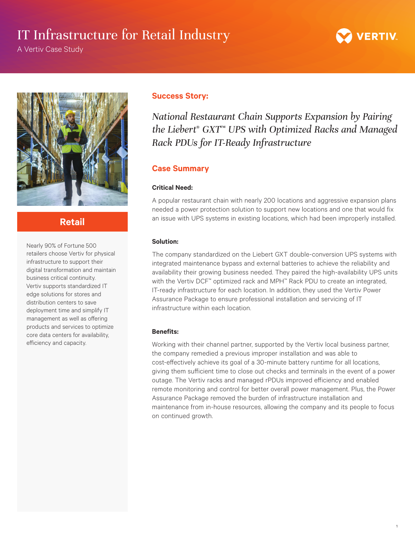# IT Infrastructure for Retail Industry

A Vertiv Case Study



1



## **Retail**

Nearly 90% of Fortune 500 retailers choose Vertiv for physical infrastructure to support their digital transformation and maintain business critical continuity. Vertiv supports standardized IT edge solutions for stores and distribution centers to save deployment time and simplify IT management as well as offering products and services to optimize core data centers for availability, efficiency and capacity.

### **Success Story:**

*National Restaurant Chain Supports Expansion by Pairing the Liebert*® *GXT*™ *UPS with Optimized Racks and Managed Rack PDUs for IT-Ready Infrastructure*

### **Case Summary**

### **Critical Need:**

A popular restaurant chain with nearly 200 locations and aggressive expansion plans needed a power protection solution to support new locations and one that would fix an issue with UPS systems in existing locations, which had been improperly installed.

### **Solution:**

The company standardized on the Liebert GXT double-conversion UPS systems with integrated maintenance bypass and external batteries to achieve the reliability and availability their growing business needed. They paired the high-availability UPS units with the Vertiv DCF™ optimized rack and MPH™ Rack PDU to create an integrated, IT-ready infrastructure for each location. In addition, they used the Vertiv Power Assurance Package to ensure professional installation and servicing of IT infrastructure within each location.

### **Benefits:**

Working with their channel partner, supported by the Vertiv local business partner, the company remedied a previous improper installation and was able to cost-effectively achieve its goal of a 30-minute battery runtime for all locations, giving them sufficient time to close out checks and terminals in the event of a power outage. The Vertiv racks and managed rPDUs improved efficiency and enabled remote monitoring and control for better overall power management. Plus, the Power Assurance Package removed the burden of infrastructure installation and maintenance from in-house resources, allowing the company and its people to focus on continued growth.